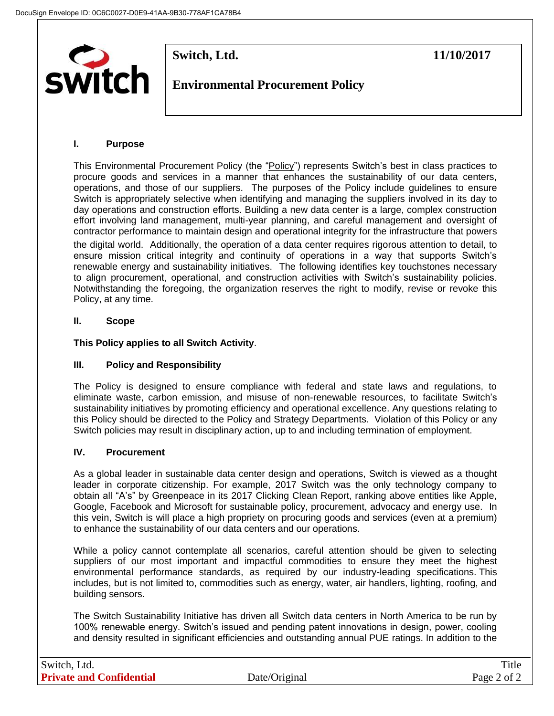

**Switch, Ltd. 11/10/2017** 

# **Environmental Procurement Policy**

## **I. Purpose**

This Environmental Procurement Policy (the "Policy") represents Switch's best in class practices to procure goods and services in a manner that enhances the sustainability of our data centers, operations, and those of our suppliers. The purposes of the Policy include guidelines to ensure Switch is appropriately selective when identifying and managing the suppliers involved in its day to day operations and construction efforts. Building a new data center is a large, complex construction effort involving land management, multi-year planning, and careful management and oversight of contractor performance to maintain design and operational integrity for the infrastructure that powers

the digital world. Additionally, the operation of a data center requires rigorous attention to detail, to ensure mission critical integrity and continuity of operations in a way that supports Switch's renewable energy and sustainability initiatives. The following identifies key touchstones necessary to align procurement, operational, and construction activities with Switch's sustainability policies. Notwithstanding the foregoing, the organization reserves the right to modify, revise or revoke this Policy, at any time.

## **II. Scope**

**This Policy applies to all Switch Activity**.

## **III. Policy and Responsibility**

The Policy is designed to ensure compliance with federal and state laws and regulations, to eliminate waste, carbon emission, and misuse of non-renewable resources, to facilitate Switch's sustainability initiatives by promoting efficiency and operational excellence. Any questions relating to this Policy should be directed to the Policy and Strategy Departments. Violation of this Policy or any Switch policies may result in disciplinary action, up to and including termination of employment.

## **IV. Procurement**

As a global leader in sustainable data center design and operations, Switch is viewed as a thought leader in corporate citizenship. For example, 2017 Switch was the only technology company to obtain all "A's" by Greenpeace in its 2017 Clicking Clean Report, ranking above entities like Apple, Google, Facebook and Microsoft for sustainable policy, procurement, advocacy and energy use. In this vein, Switch is will place a high propriety on procuring goods and services (even at a premium) to enhance the sustainability of our data centers and our operations.

While a policy cannot contemplate all scenarios, careful attention should be given to selecting suppliers of our most important and impactful commodities to ensure they meet the highest environmental performance standards, as required by our industry-leading specifications. This includes, but is not limited to, commodities such as energy, water, air handlers, lighting, roofing, and building sensors.

The Switch Sustainability Initiative has driven all Switch data centers in North America to be run by 100% renewable energy. Switch's issued and pending patent innovations in design, power, cooling and density resulted in significant efficiencies and outstanding annual PUE ratings. In addition to the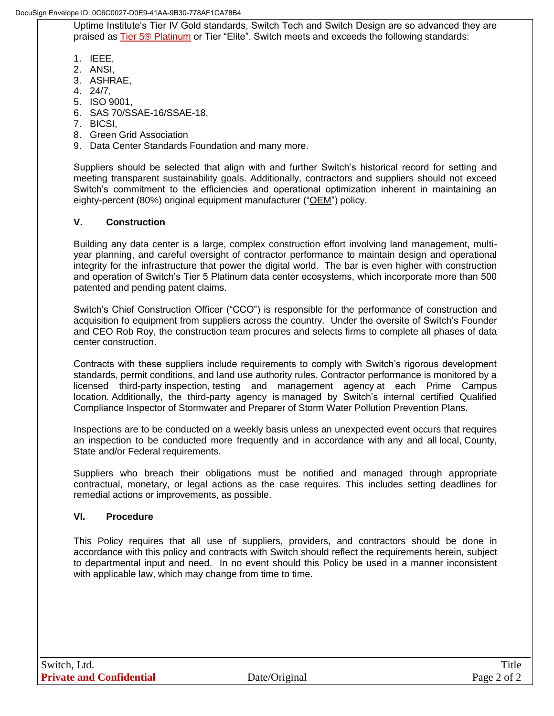DocuSign Envelope ID: 0C6C0027-D0E9-41AA-9B30-778AF1CA78B4

Uptime Institute's Tier IV Gold standards, Switch Tech and Switch Design are so advanced they are praised as Tier 5® [Platinum](https://www.switch.com/tier-5) or Tier "Elite". Switch meets and exceeds the following standards:

- 1. IEEE,
- 2. ANSI,
- 3. ASHRAE,
- 4. 24/7,
- 5. ISO 9001,
- 6. SAS 70/SSAE-16/SSAE-18,
- 7. BICSI,
- 8. Green Grid Association
- 9. Data Center Standards Foundation and many more.

Suppliers should be selected that align with and further Switch's historical record for setting and meeting transparent sustainability goals. Additionally, contractors and suppliers should not exceed Switch's commitment to the efficiencies and operational optimization inherent in maintaining an eighty-percent (80%) original equipment manufacturer ("OEM") policy.

#### **V. Construction**

Building any data center is a large, complex construction effort involving land management, multiyear planning, and careful oversight of contractor performance to maintain design and operational integrity for the infrastructure that power the digital world. The bar is even higher with construction and operation of Switch's Tier 5 Platinum data center ecosystems, which incorporate more than 500 patented and pending patent claims.

Switch's Chief Construction Officer ("CCO") is responsible for the performance of construction and acquisition fo equipment from suppliers across the country. Under the oversite of Switch's Founder and CEO Rob Roy, the construction team procures and selects firms to complete all phases of data center construction.

Contracts with these suppliers include requirements to comply with Switch's rigorous development standards, permit conditions, and land use authority rules. Contractor performance is monitored by a licensed third-party inspection, testing and management agency at each Prime Campus location. Additionally, the third-party agency is managed by Switch's internal certified Qualified Compliance Inspector of Stormwater and Preparer of Storm Water Pollution Prevention Plans.

Inspections are to be conducted on a weekly basis unless an unexpected event occurs that requires an inspection to be conducted more frequently and in accordance with any and all local, County, State and/or Federal requirements.

Suppliers who breach their obligations must be notified and managed through appropriate contractual, monetary, or legal actions as the case requires. This includes setting deadlines for remedial actions or improvements, as possible.

#### **VI. Procedure**

This Policy requires that all use of suppliers, providers, and contractors should be done in accordance with this policy and contracts with Switch should reflect the requirements herein, subject to departmental input and need. In no event should this Policy be used in a manner inconsistent with applicable law, which may change from time to time.